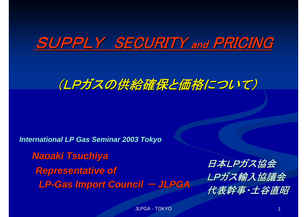# SUPPLY SECURITY and PRICING

## (LPガスの供給確保と価格について)

*International LP Gas Seminar 2003 Tokyo*

*LP-Gas Import Council Gas Import Council* - *JLPGA Naoaki Tsuchiya Tsuchiya* **Representative of アメリカス協会 およびの**<br>Representative of *LPガス輸入協議会* 

代表幹事・土谷直昭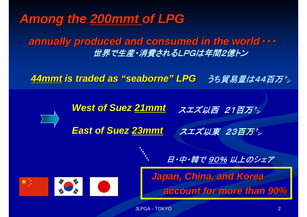## Among the 200mmt of LPG

*annually produced and consumed in the world annually produced and consumed in the world*・・・ 世界で生産・消費されるLPGは年間2億トン

*44mmt is traded as is traded as "seaborne seaborne" LPG* うち貿易量は44百万'>

*West of Suez 21mmt*

スエズ以西 21百万

*East of Suez 23mmt*

スエズ以東 23百万㌧



*Japan, China, and Korea Japan, China, and Korea account for more than account for more than 90%*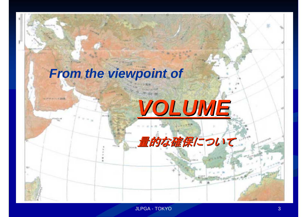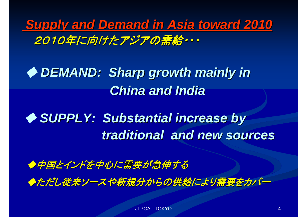*Supply and Demand in Asia toward 2010 Supply and Demand in Asia toward 2010* 2010年に向けたアジアの需給・・・

◆ DEMAND: Sharp growth mainly in *China and India China and India*

◆ SUPPLY: Substantial increase by *traditional and new sources traditional and new sources*

◆中国とインドを中心に需要が急伸する ◆ただし従来ソースや新規分からの供給により需要をカバー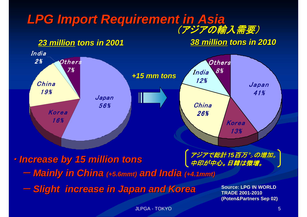#### *LPG Import Requirement in Asia LPG Import Requirement in Asia* (アジアの輸入需要)

*23 million million tons in 2001 tons in 2001 38 million milliontons in 2010 tons in 2010*



・ *Increase by 15 million tons Increase by 15 million tons*

中印が中心。日韓は微増。

-*Mainly in China Mainly in China (+5.6mmt) (+5.6mmt) and India and India (+4.1mmt) (+4.1mmt)*

*Slight increase in Japan and Korea Slight increase in Japan and Korea*

**Source: LPG IN WORLD TRADE 2001-2010 (Poten&Partners Sep 02) &Partners Sep 02)**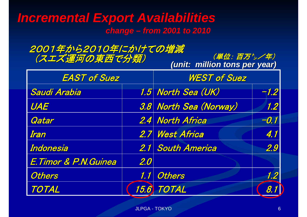### *Incremental Export Availabilities change – from 2001 to 2010*

2001年から2010年にかけての増減 (スエズ運河の東西で分類) ( ツ (単位: 百万')/年)

*(unit: million tons per year) unit: million tons per year)*

| <b>EAST of Suez</b>    |     | <b>WEST of Suez</b>    |        |
|------------------------|-----|------------------------|--------|
| Saudi Arabia           |     | 1.5 North Sea (UK)     | $-1.2$ |
| UAE                    |     | 3.8 North Sea (Norway) | 1.2    |
| Qatar                  |     | 2.4 North Africa       | $-0.1$ |
| Iran                   |     | 2.7 West Africa        | 4.1    |
| Indonesia              |     | 2.1 South America      | 2.9    |
| E. Timor & P.N. Guinea | 2.0 |                        |        |
| <b>Others</b>          |     | 1.1 Others             | 1.2    |
| TOTAL                  |     | 15.6 TOTAL             | 8.1    |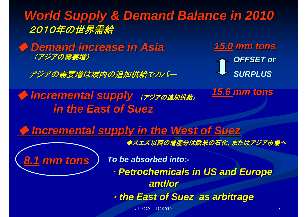*World Supply & Demand Balance in 2010 World Supply & Demand Balance in 2010* 2010年の世界需給

◆ *Demand increase in Asia Demand increase in Asia 15.0 mm tons mm tons* (アジアの需要増)

アジアの需要増は域内の追加供給でカバー

*in the East of Suez in the East of Suez*

**OFFSET or** *SURPLUS SURPLUS*

◆ Incremental supply (アジアの追加供給) 15.6 mm tons

◆ *Incremental supply in the West of Suez Incremental supply in the West of Suez*

◆スエズ以西の増産分は欧米の石化、またはアジア市場へ

*8.1 mm tons mm tons*

*To be absorbed into:-*

・ *Petrochemicals in US and Europe Petrochemicals in US and Europe and/or*

・ *the East of Suez as arbitrage the East of Suez as arbitrage*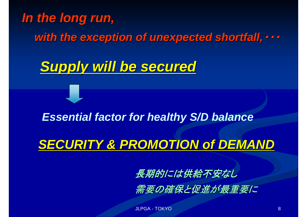## *In the long run, In the long run,*

*with the exception of unexpected shortfall, with the exception of unexpected shortfall,*・・・

*Supply will be secured Supply will be secured*

#### *Essential factor for healthy S/D balance*

## **SECURITY & PROMOTION of DEMAND**

長期的には供給不安なし

需要の確保と促進が最重要に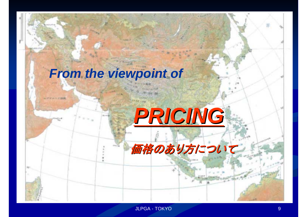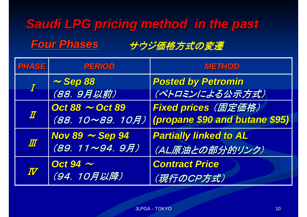# *Saudi LPG pricing method in the past Saudi LPG pricing method in the past Four Phases Four Phases* サウジ価格方式 サウジ価格方式の変遷

| <b>PHASE</b>        | PERIOD                 | <b>METHOD</b>                  |
|---------------------|------------------------|--------------------------------|
|                     | $\sim$ Sep 88          | <b>Posted by Petromin</b>      |
|                     | (88. 9月以前)             | (ペトロミンによる公示方式)                 |
|                     | Oct $88 \sim$ Oct $89$ | Fixed prices (固定価格)            |
| $I\hspace{-0.1cm}I$ | (88. 10~89. 10月)       | (propane \$90 and butane \$95) |
| $I\!\!I\!\!I$       | Nov 89 $\sim$ Sep 94   | <b>Partially linked to AL</b>  |
|                     | (89. 11~94. 9月)        | (AL原油との部分的リンク)                 |
| $I\!\!V$            | Oct 94 $\sim$          | <b>Contract Price</b>          |
|                     | (94. 10月以降)            | (現行のCP方式)                      |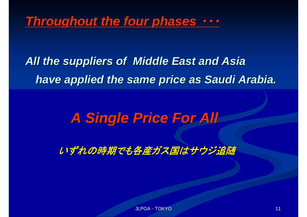*Throughout the four phases Throughout the four phases* ・・・

*All the suppliers of Middle East and Asia All the suppliers of Middle East and Asia have applied the same price as Saudi Arabia. have applied the same price as Saudi Arabia.*

## *A Single Price For All A Single Price For All*

いずれの時期でも各産ガス国はサウジ追随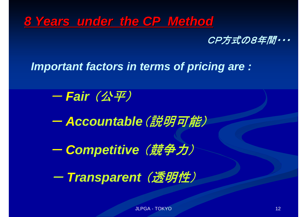## *8 Years under the CP Method Years under the CP Method*



*Important factors in terms of pricing are :*

-*Fair* (公平)

-- Accountable(説明可能)

-*Competitive* (競争力)

-- Transparent *(透明性)*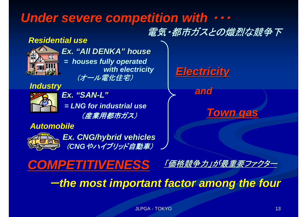## Under severe competition with  $\cdots$

## 電気・都市ガスとの熾烈な競争下

#### *Residential use*



*Ex. "All DENKA" house = houses fully operated with electricity* (オール電化住宅)

*Industry*

*= LNG for industrial use Ex. "SAN-L"* (産業用都市ガス)

*COMPETITIVENESS COMPETITIVENESS*

#### *Automobile*



*Ex. CNG/hybrid vehicles* (CNGやハイブリッド自動車)

*Electricity Electricity* 

*and*

*Town gas Town gas*

「価格競争力」が最重要ファクター

-*the most important factor among the four the most important factor among the four*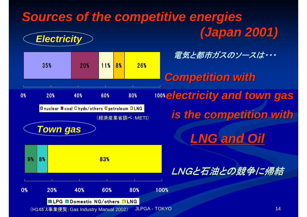#### *Sources of the competitive energies Sources of the competitive energies (Japan 2001) (Japan 2001) Electricity Electricity*

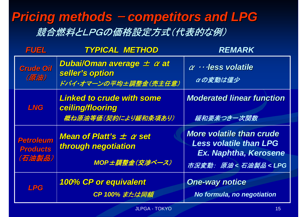## **Pricing methods – competitors and LPG** 競合燃料とLPGの価格設定方式(代表的な例)

| <b>FUEL</b>                                   | <b>TYPICAL METHOD</b>                                                                                    | <b>REMARK</b>                                                                                                                  |
|-----------------------------------------------|----------------------------------------------------------------------------------------------------------|--------------------------------------------------------------------------------------------------------------------------------|
| <b>Crude Oil</b><br>(原油)                      | Dubai/Oman average $\pm$ $\alpha$ at<br>seller's option<br>ドバイ・オマーンの平均±調整金(売主任意)                         | $\alpha$ · · · less volatile<br>αの変動は僅少                                                                                        |
| <b>LNG</b>                                    | <b>Linked to crude with some</b><br>ceiling/flooring<br>概ね原油等価(契約により緩和条項あり)                              | <b>Moderated linear function</b><br>緩和要素つきー次関数                                                                                 |
| <b>Petroleum</b><br><b>Products</b><br>(石油製品) | <b>Mean of Platt's <math>\pm</math> <math>\alpha</math> set</b><br>through negotiation<br>MOP±調整金(交渉ベース) | <b>More volatile than crude</b><br><b>Less volatile than LPG</b><br>Ex. Naphtha, Kerosene<br>市況変動: 原油<石油製品 <lpg< th=""></lpg<> |
| <b>LPG</b>                                    | <b>100% CP or equivalent</b><br>CP 100% または同額                                                            | <b>One-way notice</b><br>No formula, no negotiation                                                                            |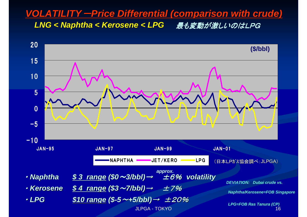#### *VOLATILITY VOLATILITY*-*Price Differential (comparison with crude) Price Differential (comparison with crude) LNG <sup>&</sup>lt; Naphtha < Kerosene < LPG Naphtha < Kerosene < LPG* 最も変動が激しいのはLPG しいのはLPG

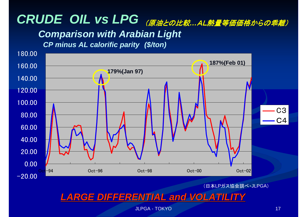# CRUDE OIL VS LPG (原油との比較 …AL熱量等価価格からの乖離)

#### *Comparison with Arabian Light*

*CP minus AL calorific parity (\$/ton)*



(日本LPガス協会調べ・JLPGA)

#### *LARGE DIFFERENTIAL and VOLATILITY LARGE DIFFERENTIAL and VOLATILITY*

**JLPGA - TOKYO 17 AND 17 AND 17 AND 17 AND 17 AND 17 AND 17 AND 17 AND 17 AND 17 AND 17 AND 17 AND 17 AND 17 AN**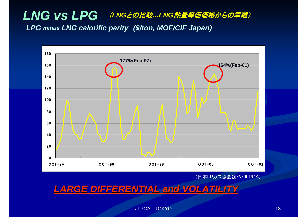### *LNG vs LPG* (*LNG*との比較*…LNG*熱量等価価格からの 熱量等価価格からの乖離) *LPG minus LNG calorific parity (\$/ton, MOF/CIF Japan)*



(日本LPガス協会調べ・JLPGA)

*LARGE DIFFERENTIAL and VOLATILITY LARGE DIFFERENTIAL and VOLATILITY*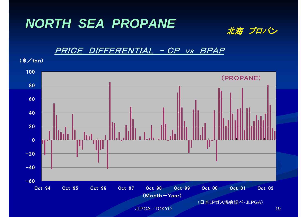# *NORTH SEA PROPANE NORTH SEA PROPANE* 北海 プロパン



#### PRICE DIFFERENTIAL - CP vs BPAP

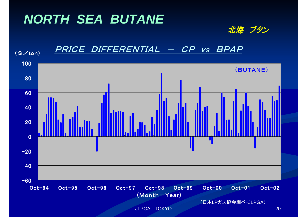## *NORTH SEA BUTANE*



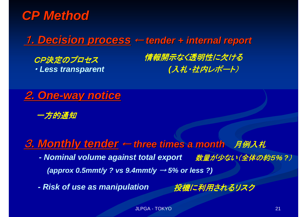

## **1. Decision process ← tender + internal report**

・ *Less transparent*

CP決定のプロセス 情報開示なく透明性に欠ける *(*入札・社内レポート)



一方的通知

<u>3. Monthly tender</u> ← three times a month *月例入札* 

*- Nominal volume against total export* 数量が少ない(全体の約5% *?*) *(approx 0.5mmt/y ? vs 9.4mmt/y* <sup>→</sup> *5% or less ?)*

*- Risk of use as manipulation* 投機に利用されるリスク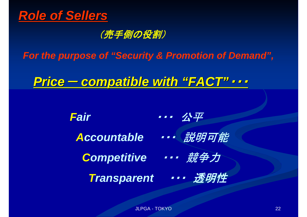

#### (売手側の役割)

*For the purpose of "Security & Promotion of Demand",*

*Price*- *compatible with compatible with "FACT"*・・・

*Fair* ・・・ 公平 Accountable ···· 說明可能 **Competitive ··· 競争力** *Transparent* ・・・ 透明性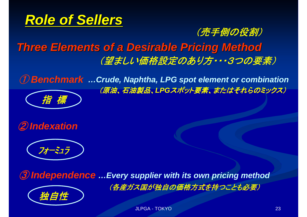

#### (売手側の役割)

## *Three Elements of a Desirable Pricing Method Three Elements of a Desirable Pricing Method* (望ましい価格設定のあり方・・・3つの要素)

① *Benchmark …Crude, Naphtha, LPG spot element or combination* (原油、石油製品、LPGスポット要素、またはそれらのミックス) 指 標





③ *Independence …Every supplier with its own pricing method* (各産ガス国が独自の価格方式を持つことも必要) 独自性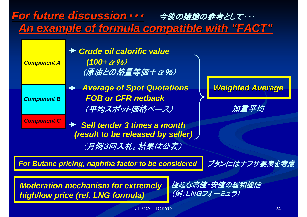

Moderation mechanism for extremely *を端な高値・安値の緩*<br>high/low price (ref. LNG formula) *(例: LNGフォーミュラ)*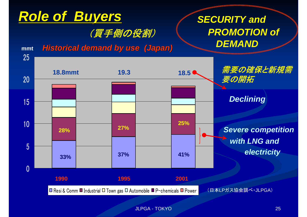

JLPGA - TOKYO 25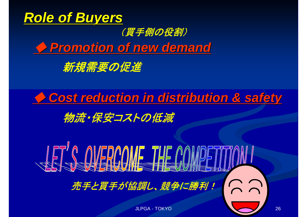

(買手側の役割)

◆ *Promotion of new demand Promotion of new demand* 





物流・保安コストの低減

**SERS OF POINT THE COMPETI** 売手と買手が協調し、競争に勝利!